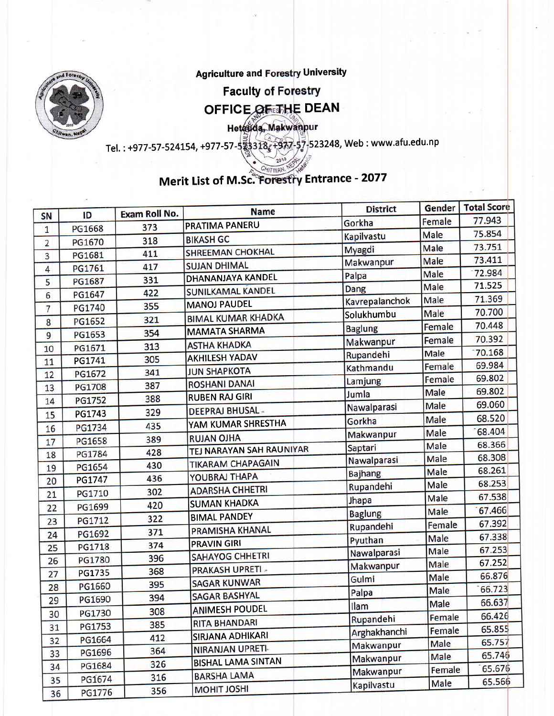

**Faculty of Forestry** 

## OFFICE OF THE DEAN

Hetagda, Makwanpur

Tel. : +977-57 -524L54, +977 -57 5232411, Web : www.afu.ed u. n <sup>P</sup>

#### CHITWAN. Merit List of M.Sc. Forestry Entrance - 2077

|                 |               | Exam Roll No. | <b>Name</b>               | <b>District</b> | Gender | <b>Total Score</b> |
|-----------------|---------------|---------------|---------------------------|-----------------|--------|--------------------|
| SN              | ID            |               | PRATIMA PANERU            | Gorkha          | Female | 77.943             |
| $\mathbf{1}$    | PG1668        | 373           | <b>BIKASH GC</b>          | Kapilvastu      | Male   | 75.854             |
| $\overline{2}$  | PG1670        | 318           | SHREEMAN CHOKHAL          | Myagdi          | Male   | 73.751             |
| 3               | PG1681        | 411           | <b>SUJAN DHIMAL</b>       | Makwanpur       | Male   | 73.411             |
| $\overline{4}$  | PG1761        | 417           | <b>DHANANJAYA KANDEL</b>  | Palpa           | Male   | 72.984             |
| 5               | PG1687        | 331           | SUNILKAMAL KANDEL         | Dang            | Male   | 71.525             |
| $6 \overline{}$ | PG1647        | 422           |                           | Kavrepalanchok  | Male   | 71.369             |
| 7               | PG1740        | 355           | <b>MANOJ PAUDEL</b>       | Solukhumbu      | Male   | 70.700             |
| 8               | PG1652        | 321           | <b>BIMAL KUMAR KHADKA</b> | <b>Baglung</b>  | Female | 70.448             |
| 9               | PG1653        | 354           | <b>MAMATA SHARMA</b>      | Makwanpur       | Female | 70.392             |
| 10              | PG1671        | 313           | <b>ASTHA KHADKA</b>       | Rupandehi       | Male   | 70.168             |
| 11              | PG1741        | 305           | <b>AKHILESH YADAV</b>     | Kathmandu       | Female | 69.984             |
| 12              | PG1672        | 341           | <b>JUN SHAPKOTA</b>       |                 | Female | 69.802             |
| 13              | <b>PG1708</b> | 387           | <b>ROSHANI DANAI</b>      | Lamjung         | Male   | 69.802             |
| 14              | PG1752        | 388           | <b>RUBEN RAJ GIRI</b>     | Jumla           | Male   | 69.060             |
| 15              | PG1743        | 329           | <b>DEEPRAJ BHUSAL-</b>    | Nawalparasi     | Male   | 68.520             |
| 16              | PG1734        | 435           | YAM KUMAR SHRESTHA        | Gorkha          |        | 68.404             |
| 17              | PG1658        | 389           | <b>RUJAN OJHA</b>         | Makwanpur       | Male   | 68.366             |
| 18              | PG1784        | 428           | TEJ NARAYAN SAH RAUNIYAR  | Saptari         | Male   | 68.308             |
| 19              | PG1654        | 430           | <b>TIKARAM CHAPAGAIN</b>  | Nawalparasi     | Male   | 68.261             |
| 20              | PG1747        | 436           | YOUBRAJ THAPA             | <b>Bajhang</b>  | Male   | 68.253             |
| 21              | PG1710        | 302           | <b>ADARSHA CHHETRI</b>    | Rupandehi       | Male   | 67.538             |
| 22              | PG1699        | 420           | <b>SUMAN KHADKA</b>       | Jhapa           | Male   |                    |
| 23              | PG1712        | 322           | <b>BIMAL PANDEY</b>       | <b>Baglung</b>  | Male   | 67.466             |
| 24              | PG1692        | 371           | PRAMISHA KHANAL           | Rupandehi       | Female | 67.392             |
| 25              | <b>PG1718</b> | 374           | <b>PRAVIN GIRI</b>        | Pyuthan         | Male   | 67.338             |
| 26              | PG1780        | 396           | SAHAYOG CHHETRI           | Nawalparasi     | Male   | 67.253             |
| 27              | <b>PG1735</b> | 368           | PRAKASH UPRETI -          | Makwanpur       | Male   | 67.252             |
| 28              | PG1660        | 395           | <b>SAGAR KUNWAR</b>       | Gulmi           | Male   | 66.876             |
| 29              | PG1690        | 394           | <b>SAGAR BASHYAL</b>      | Palpa           | Male   | 66.723             |
|                 |               | 308           | <b>ANIMESH POUDEL</b>     | Ilam            | Male   | 66.637             |
| 30              | PG1730        | 385           | <b>RITA BHANDARI</b>      | Rupandehi       | Female | 66.426             |
| 31              | PG1753        | 412           | SIRJANA ADHIKARI          | Arghakhanchi    | Female | 65.855             |
| 32              | PG1664        | 364           | NIRANJAN UPRETI-          | Makwanpur       | Male   | 65.757             |
| 33              | PG1696        | 326           | <b>BISHAL LAMA SINTAN</b> | Makwanpur       | Male   | 65.746             |
| 34              | PG1684        |               | <b>BARSHA LAMA</b>        | Makwanpur       | Female | 65.676             |
| 35              | PG1674        | 316           | <b>MOHIT JOSHI</b>        | Kapilvastu      | Male   | 65.566             |
| 36              | PG1776        | 356           |                           |                 |        |                    |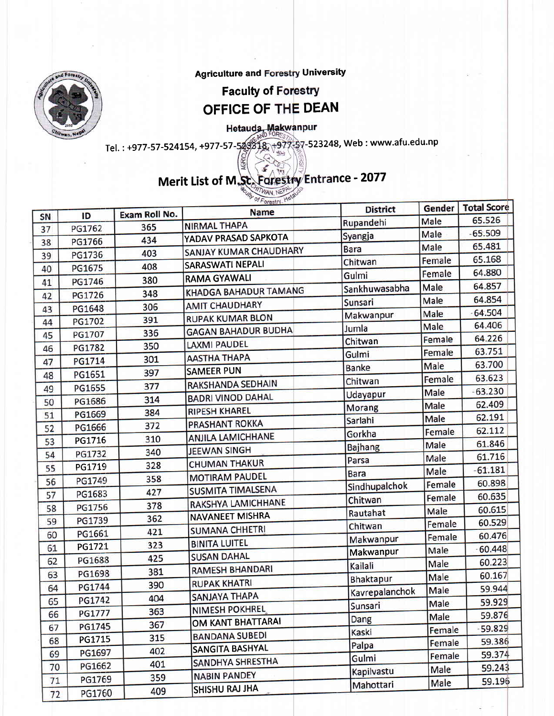

#### **Faculty of Forestry** OFFICE OF THE DEAN

Hetauda, Makwanpur

Tel. : +977-57-524154, +977-57-52318, +977-57-523248, Web : www.afu.edu.np

### Merit List of M.Sc. Forestry Entrance - 2077

TWAN NEP

 $\mathbf{r}$  . The same of  $\mathbf{r}$ 

|    |               |                      | <b>Name</b>                | <b>District</b> | Gender | Total Score |
|----|---------------|----------------------|----------------------------|-----------------|--------|-------------|
| SN | ID            | Exam Roll No.<br>365 | <b>NIRMAL THAPA</b>        | Rupandehi       | Male   | 65.526      |
| 37 | PG1762        |                      | YADAV PRASAD SAPKOTA       | Syangja         | Male   | $-65.509$   |
| 38 | PG1766        | 434                  | SANJAY KUMAR CHAUDHARY     | Bara            | Male   | 65.481      |
| 39 | PG1736        | 403                  | <b>SARASWATI NEPALI</b>    | Chitwan         | Female | 65.168      |
| 40 | PG1675        | 408                  | <b>RAMA GYAWALI</b>        | Gulmi           | Female | 64.880      |
| 41 | PG1746        | 380                  |                            | Sankhuwasabha   | Male   | 64.857      |
| 42 | PG1726        | 348                  | KHADGA BAHADUR TAMANG      | Sunsari         | Male   | 64.854      |
| 43 | PG1648        | 306                  | <b>AMIT CHAUDHARY</b>      | Makwanpur       | Male   | 64.504      |
| 44 | PG1702        | 391                  | <b>RUPAK KUMAR BLON</b>    | Jumla           | Male   | 64.406      |
| 45 | PG1707        | 336                  | <b>GAGAN BAHADUR BUDHA</b> | Chitwan         | Female | 64.226      |
| 46 | PG1782        | 350                  | <b>LAXMI PAUDEL</b>        | Gulmi           | Female | 63.751      |
| 47 | PG1714        | 301                  | <b>AASTHA THAPA</b>        | <b>Banke</b>    | Male   | 63.700      |
| 48 | PG1651        | 397                  | <b>SAMEER PUN</b>          |                 | Female | 63.623      |
| 49 | PG1655        | 377                  | RAKSHANDA SEDHAIN          | Chitwan         | Male   | $-63.230$   |
| 50 | PG1686        | 314                  | <b>BADRI VINOD DAHAL</b>   | Udayapur        | Male   | 62.409      |
| 51 | PG1669        | 384                  | <b>RIPESH KHAREL</b>       | Morang          | Male   | 62.191      |
| 52 | PG1666        | 372                  | PRASHANT ROKKA             | Sarlahi         | Female | 62.112      |
| 53 | PG1716        | 310                  | <b>ANJILA LAMICHHANE</b>   | Gorkha          | Male   | 61.846      |
| 54 | PG1732        | 340                  | <b>JEEWAN SINGH</b>        | <b>Bajhang</b>  | Male   | 61.716      |
| 55 | PG1719        | 328                  | <b>CHUMAN THAKUR</b>       | Parsa           | Male   | $-61.181$   |
| 56 | PG1749        | 358                  | <b>MOTIRAM PAUDEL</b>      | <b>Bara</b>     | Female | 60.898      |
| 57 | PG1683        | 427                  | <b>SUSMITA TIMALSENA</b>   | Sindhupalchok   |        | 60.635      |
| 58 | PG1756        | 378                  | RAKSHYA LAMICHHANE         | Chitwan         | Female | 60.615      |
| 59 | PG1739        | 362                  | <b>NAVANEET MISHRA</b>     | Rautahat        | Male   | 60.529      |
| 60 | PG1661        | 421                  | <b>SUMANA CHHETRI</b>      | Chitwan         | Female | 60.476      |
| 61 | PG1721        | 323                  | <b>BINITA LUITEL</b>       | Makwanpur       | Female | $-60.448$   |
| 62 | PG1688        | 425                  | <b>SUSAN DAHAL</b>         | Makwanpur       | Male   | 60.223      |
| 63 | PG1698        | 381                  | <b>RAMESH BHANDARI</b>     | Kailali         | Male   | 60.167      |
| 64 | <b>PG1744</b> | 390                  | <b>RUPAK KHATRI</b>        | Bhaktapur       | Male   | 59.944      |
| 65 | PG1742        | 404                  | <b>SANJAYA THAPA</b>       | Kavrepalanchok  | Male   |             |
| 66 | <b>PG1777</b> | 363                  | NIMESH POKHREL             | Sunsari         | Male   | 59.929      |
|    | PG1745        | 367                  | OM KANT BHATTARAI          | Dang            | Male   | 59.876      |
| 67 |               | 315                  | <b>BANDANA SUBEDI</b>      | Kaski           | Female | 59.829      |
| 68 | PG1715        | 402                  | <b>SANGITA BASHYAL</b>     | Palpa           | Female | 59.386      |
| 69 | PG1697        | 401                  | <b>SANDHYA SHRESTHA</b>    | Gulmi           | Female | 59.374      |
| 70 | PG1662        | 359                  | <b>NABIN PANDEY</b>        | Kapilvastu      | Male   | 59.243      |
| 71 | PG1769        |                      | SHISHU RAJ JHA             | Mahottari       | Male   | 59.196      |
| 72 | PG1760        | 409                  |                            |                 |        |             |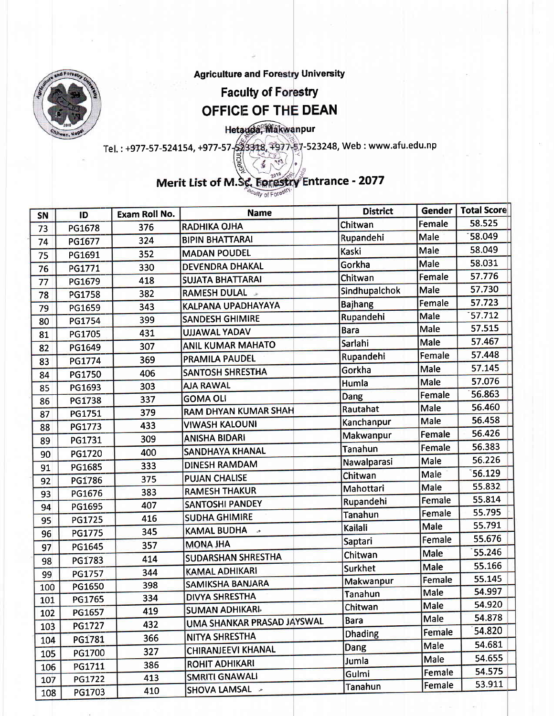**Faculty of Forestry** OFFICE OF THE DEAN

Hetauda, Makwanpur

Tel.: +977-57-524154, +977-57-57-53318, +977-57-523248, Web: www.afu.edu.np

# Merit List of M.Sc. Forestry Entrance - 2077

Culty of Forest

| SN  | ID            | Exam Roll No. | <b>Name</b>                 | <b>District</b>    |             | Gender   Total Score |
|-----|---------------|---------------|-----------------------------|--------------------|-------------|----------------------|
| 73  | PG1678        | 376           | <b>RADHIKA OJHA</b>         | Chitwan            | Female      | 58.525               |
| 74  | PG1677        | 324           | <b>BIPIN BHATTARAI</b>      | Rupandehi          | <b>Male</b> | 58.049               |
| 75  | PG1691        | 352           | <b>MADAN POUDEL</b>         | Kaski              | Male        | 58.049               |
| 76  | PG1771        | 330           | <b>DEVENDRA DHAKAL</b>      | Gorkha             | <b>Male</b> | 58.031               |
| 77  | PG1679        | 418           | <b>SUJATA BHATTARAI</b>     | Chitwan            | Female      | 57.776               |
| 78  | PG1758        | 382           | <b>RAMESH DULAL »</b>       | Sindhupalchok      | Male        | 57.730               |
| 79  | PG1659        | 343           | KALPANA UPADHAYAYA          | <b>Bajhang</b>     | Female      | 57.723               |
| 80  | PG1754        | 399           | <b>SANDESH GHIMIRE</b>      | Rupandehi          | Male        | 57.712               |
| 81  | PG1705        | 431           | <b>UJJAWAL YADAV</b>        | <b>Bara</b>        | Male        | 57.515               |
| 82  | PG1649        | 307           | <b>ANIL KUMAR MAHATO</b>    | Sarlahi            | Male        | 57.467               |
| 83  | PG1774        | 369           | <b>PRAMILA PAUDEL</b>       | Rupandehi          | Female      | 57.448               |
| 84  | PG1750        | 406           | <b>SANTOSH SHRESTHA</b>     | Gorkha             | Male        | 57.145               |
| 85  | PG1693        | 303           | <b>AJA RAWAL</b>            | Humla              | Male        | 57.076               |
| 86  | <b>PG1738</b> | 337           | <b>GOMA OLI</b>             | <b>Dang</b>        | Female      | 56.863               |
| 87  | PG1751        | 379           | <b>RAM DHYAN KUMAR SHAH</b> | Rautahat           | Male        | 56.460               |
| 88  | PG1773        | 433           | <b>VIWASH KALOUNI</b>       | Kanchanpur         | Male        | 56.458               |
| 89  | PG1731        | 309           | <b>ANISHA BIDARI</b>        | Makwanpur          | Female      | 56.426               |
| 90  | PG1720        | 400           | SANDHAYA KHANAL             | Tanahun            | Female      | 56.383               |
| 91  | PG1685        | 333           | <b>DINESH RAMDAM</b>        | <b>Nawalparasi</b> | Male        | 56.226               |
| 92  | PG1786        | 375           | <b>PUJAN CHALISE</b>        | Chitwan            | Male        | 56.129               |
| 93  | PG1676        | 383           | <b>RAMESH THAKUR</b>        | Mahottari          | Male        | 55.832               |
| 94  | PG1695        | 407           | <b>SANTOSHI PANDEY</b>      | Rupandehi          | Female      | 55.814               |
| 95  | PG1725        | 416           | <b>SUDHA GHIMIRE</b>        | Tanahun            | Female      | 55.795               |
| 96  | PG1775        | 345           | KAMAL BUDHA »               | Kailali            | Male        | 55.791               |
| 97  | PG1645        | 357           | <b>MONA JHA</b>             | Saptari            | Female      | 55.676               |
| 98  | PG1783        | 414           | <b>SUDARSHAN SHRESTHA</b>   | Chitwan            | Male        | 55.246               |
| 99  | PG1757        | 344           | <b>KAMAL ADHIKARI</b>       | Surkhet            | Male        | 55.166               |
| 100 | PG1650        | 398           | <b>SAMIKSHA BANJARA</b>     | Makwanpur          | Female      | 55.145               |
| 101 | PG1765        | 334           | <b>DIVYA SHRESTHA</b>       | <b>Tanahun</b>     | Male        | 54.997               |
| 102 | PG1657        | 419           | <b>SUMAN ADHIKARI</b>       | Chitwan            | Male        | 54.920               |
| 103 | PG1727        | 432           | UMA SHANKAR PRASAD JAYSWAL  | Bara               | Male        | 54.878               |
| 104 | PG1781        | 366           | NITYA SHRESTHA              | <b>Dhading</b>     | Female      | 54.820               |
| 105 | PG1700        | 327           | <b>CHIRANJEEVI KHANAL</b>   | Dang               | Male        | 54.681               |
| 106 | PG1711        | 386           | <b>ROHIT ADHIKARI</b>       | Jumla              | Male        | 54.655               |
| 107 | PG1722        | 413           | <b>SMRITI GNAWALI</b>       | Gulmi              | Female      | 54.575               |
| 108 | PG1703        | 410           | SHOVA LAMSAL >              | Tanahun            | Female      | 53.911               |